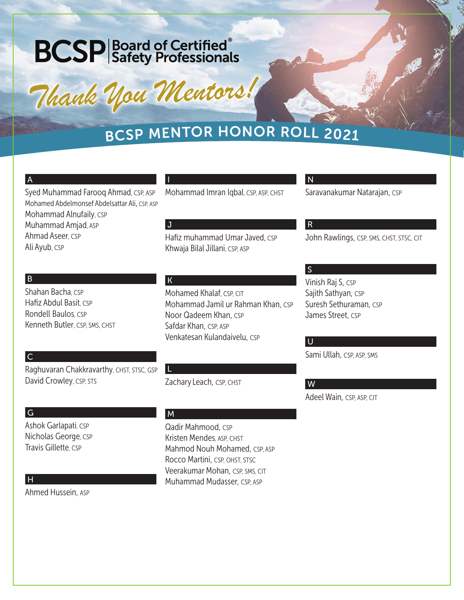# **BCSP** Safety Professionals

*Thank You Mentors! Thank You Mentors!*

### <sup>B</sup>CS<sup>P</sup> <sup>M</sup>ENTO<sup>R</sup> <sup>H</sup>ONO<sup>R</sup> <sup>R</sup>OL<sup>L</sup> <sup>2</sup>02<sup>1</sup>

|                                                                                                                  |                                                                   | N                                           |
|------------------------------------------------------------------------------------------------------------------|-------------------------------------------------------------------|---------------------------------------------|
| Syed Muhammad Farooq Ahmad, CSP, ASP<br>Mohamed Abdelmonsef Abdelsattar Ali, CSP, ASP<br>Mohammad Alnufaily, CSP | Mohammad Imran Iqbal, CSP, ASP, CHST                              | Saravanakumar Natarajan, CSP                |
| Muhammad Amjad, ASP                                                                                              | J                                                                 | $\mathsf{R}$                                |
| Ahmad Aseer, CSP<br>Ali Ayub, CSP                                                                                | Hafiz muhammad Umar Javed, CSP<br>Khwaja Bilal Jillani, CSP, ASP  | John Rawlings, CSP, SMS, CHST, STSC, CIT    |
|                                                                                                                  |                                                                   | $\vert S \vert$                             |
| B                                                                                                                | $\mathsf K$                                                       | Vinish Raj S, CSP                           |
| Shahan Bacha, CSP<br>Hafiz Abdul Basit, CSP                                                                      | Mohamed Khalaf, CSP, CIT                                          | Sajith Sathyan, CSP                         |
| Rondell Baulos, CSP                                                                                              | Mohammad Jamil ur Rahman Khan, CSP<br>Noor Qadeem Khan, CSP       | Suresh Sethuraman, CSP<br>James Street, CSP |
| Kenneth Butler, CSP, SMS, CHST                                                                                   | Safdar Khan, CSP, ASP                                             |                                             |
|                                                                                                                  | Venkatesan Kulandaivelu, CSP                                      | U                                           |
|                                                                                                                  |                                                                   | Sami Ullah, CSP, ASP, SMS                   |
| C                                                                                                                |                                                                   |                                             |
| Raghuvaran Chakkravarthy, CHST, STSC, GSP<br>David Crowley, CSP, STS                                             | Zachary Leach, CSP, CHST                                          |                                             |
|                                                                                                                  |                                                                   | W                                           |
|                                                                                                                  |                                                                   | Adeel Wain, CSP, ASP, CIT                   |
| G                                                                                                                | M                                                                 |                                             |
| Ashok Garlapati, CSP                                                                                             | Qadir Mahmood, CSP                                                |                                             |
| Nicholas George, CSP                                                                                             | Kristen Mendes, ASP, CHST                                         |                                             |
| Travis Gillette, CSP                                                                                             | Mahmod Nouh Mohamed, CSP, ASP                                     |                                             |
|                                                                                                                  | Rocco Martini, CSP, OHST, STSC<br>Veerakumar Mohan, CSP, SMS, CIT |                                             |
| Н                                                                                                                | Muhammad Mudasser, CSP, ASP                                       |                                             |
| Ahmed Hussein, ASP                                                                                               |                                                                   |                                             |
|                                                                                                                  |                                                                   |                                             |
|                                                                                                                  |                                                                   |                                             |